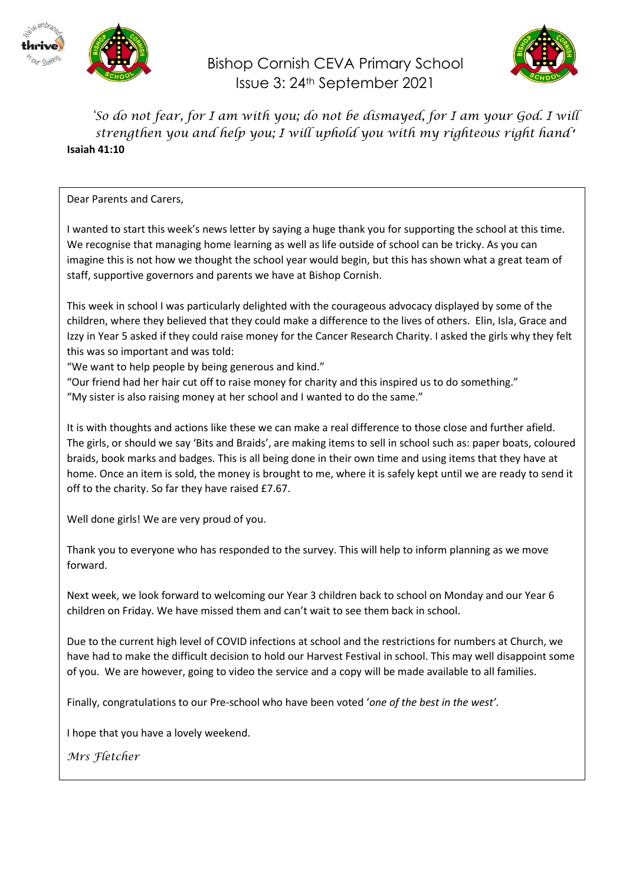

Bishop Cornish CEVA Primary School Issue 3: 24th September 2021



*'So do not fear, for I am with you; do not be dismayed, for I am your God. I will strengthen you and help you; I will uphold you with my righteous right hand* **' Isaiah 41:10**

### Dear Parents and Carers,

I wanted to start this week's news letter by saying a huge thank you for supporting the school at this time. We recognise that managing home learning as well as life outside of school can be tricky. As you can imagine this is not how we thought the school year would begin, but this has shown what a great team of staff, supportive governors and parents we have at Bishop Cornish.

This week in school I was particularly delighted with the courageous advocacy displayed by some of the children, where they believed that they could make a difference to the lives of others. Elin, Isla, Grace and Izzy in Year 5 asked if they could raise money for the Cancer Research Charity. I asked the girls why they felt this was so important and was told:

"We want to help people by being generous and kind."

"Our friend had her hair cut off to raise money for charity and this inspired us to do something." "My sister is also raising money at her school and I wanted to do the same."

It is with thoughts and actions like these we can make a real difference to those close and further afield. The girls, or should we say 'Bits and Braids', are making items to sell in school such as: paper boats, coloured braids, book marks and badges. This is all being done in their own time and using items that they have at home. Once an item is sold, the money is brought to me, where it is safely kept until we are ready to send it off to the charity. So far they have raised £7.67.

Well done girls! We are very proud of you.

Thank you to everyone who has responded to the survey. This will help to inform planning as we move forward.

Next week, we look forward to welcoming our Year 3 children back to school on Monday and our Year 6 children on Friday. We have missed them and can't wait to see them back in school.

Due to the current high level of COVID infections at school and the restrictions for numbers at Church, we have had to make the difficult decision to hold our Harvest Festival in school. This may well disappoint some of you. We are however, going to video the service and a copy will be made available to all families.

Finally, congratulations to our Pre-school who have been voted '*one of the best in the west'.*

I hope that you have a lovely weekend.

*Mrs Fletcher*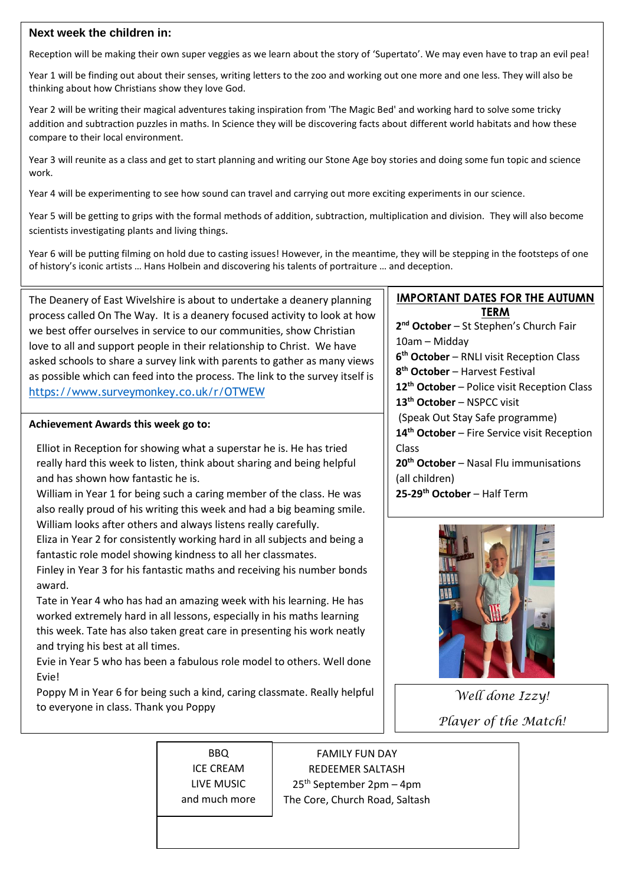## **Next week the children in:**

Reception will be making their own super veggies as we learn about the story of 'Supertato'. We may even have to trap an evil pea!

Year 1 will be finding out about their senses, writing letters to the zoo and working out one more and one less. They will also be thinking about how Christians show they love God.

Year 2 will be writing their magical adventures taking inspiration from 'The Magic Bed' and working hard to solve some tricky addition and subtraction puzzles in maths. In Science they will be discovering facts about different world habitats and how these compare to their local environment.

Year 3 will reunite as a class and get to start planning and writing our Stone Age boy stories and doing some fun topic and science work.

Year 4 will be experimenting to see how sound can travel and carrying out more exciting experiments in our science.

Year 5 will be getting to grips with the formal methods of addition, subtraction, multiplication and division. They will also become scientists investigating plants and living things.

Year 6 will be putting filming on hold due to casting issues! However, in the meantime, they will be stepping in the footsteps of one of history's iconic artists … Hans Holbein and discovering his talents of portraiture … and deception.

The Deanery of East Wivelshire is about to undertake a deanery planning process called On The Way. It is a deanery focused activity to look at how we best offer ourselves in service to our communities, show Christian love to all and support people in their relationship to Christ. We have asked schools to share a survey link with parents to gather as many views as possible which can feed into the process. The link to the survey itself is <https://www.surveymonkey.co.uk/r/OTWEW>

### **Achievement Awards this week go to:**

Elliot in Reception for showing what a superstar he is. He has tried really hard this week to listen, think about sharing and being helpful and has shown how fantastic he is.

William in Year 1 for being such a caring member of the class. He was also really proud of his writing this week and had a big beaming smile. William looks after others and always listens really carefully.

Eliza in Year 2 for consistently working hard in all subjects and being a fantastic role model showing kindness to all her classmates.

Finley in Year 3 for his fantastic maths and receiving his number bonds award.

Tate in Year 4 who has had an amazing week with his learning. He has worked extremely hard in all lessons, especially in his maths learning this week. Tate has also taken great care in presenting his work neatly and trying his best at all times.

Evie in Year 5 who has been a fabulous role model to others. Well done Evie!

Poppy M in Year 6 for being such a kind, caring classmate. Really helpful to everyone in class. Thank you Poppy

### **IMPORTANT DATES FOR THE AUTUMN TERM**

**2 nd October** – St Stephen's Church Fair 10am – Midday **6 th October** – RNLI visit Reception Class **8 th October** – Harvest Festival **12th October** – Police visit Reception Class **13th October** – NSPCC visit (Speak Out Stay Safe programme) **14th October** – Fire Service visit Reception Class **20th October** – Nasal Flu immunisations (all children) **25-29th October** – Half Term



*Well done Izzy! Player of the Match!*

BBQ ICE CREAM LIVE MUSIC and much more

FAMILY FUN DAY REDEEMER SALTASH  $25<sup>th</sup>$  September 2pm – 4pm The Core, Church Road, Saltash